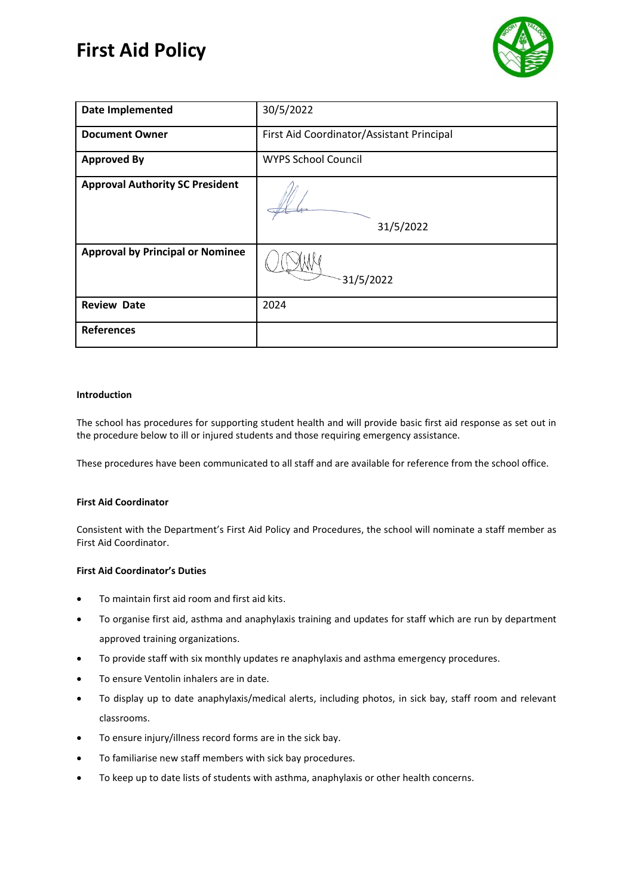# **First Aid Policy**



| <b>Date Implemented</b>                 | 30/5/2022                                 |
|-----------------------------------------|-------------------------------------------|
| <b>Document Owner</b>                   | First Aid Coordinator/Assistant Principal |
| <b>Approved By</b>                      | <b>WYPS School Council</b>                |
| <b>Approval Authority SC President</b>  | 31/5/2022                                 |
| <b>Approval by Principal or Nominee</b> | 31/5/2022                                 |
| <b>Review Date</b>                      | 2024                                      |
| <b>References</b>                       |                                           |

# **Introduction**

The school has procedures for supporting student health and will provide basic first aid response as set out in the procedure below to ill or injured students and those requiring emergency assistance.

These procedures have been communicated to all staff and are available for reference from the school office.

# **First Aid Coordinator**

Consistent with the Department's First Aid Policy and Procedures, the school will nominate a staff member as First Aid Coordinator.

#### **First Aid Coordinator's Duties**

- To maintain first aid room and first aid kits.
- To organise first aid, asthma and anaphylaxis training and updates for staff which are run by department approved training organizations.
- To provide staff with six monthly updates re anaphylaxis and asthma emergency procedures.
- To ensure Ventolin inhalers are in date.
- To display up to date anaphylaxis/medical alerts, including photos, in sick bay, staff room and relevant classrooms.
- To ensure injury/illness record forms are in the sick bay.
- To familiarise new staff members with sick bay procedures.
- To keep up to date lists of students with asthma, anaphylaxis or other health concerns.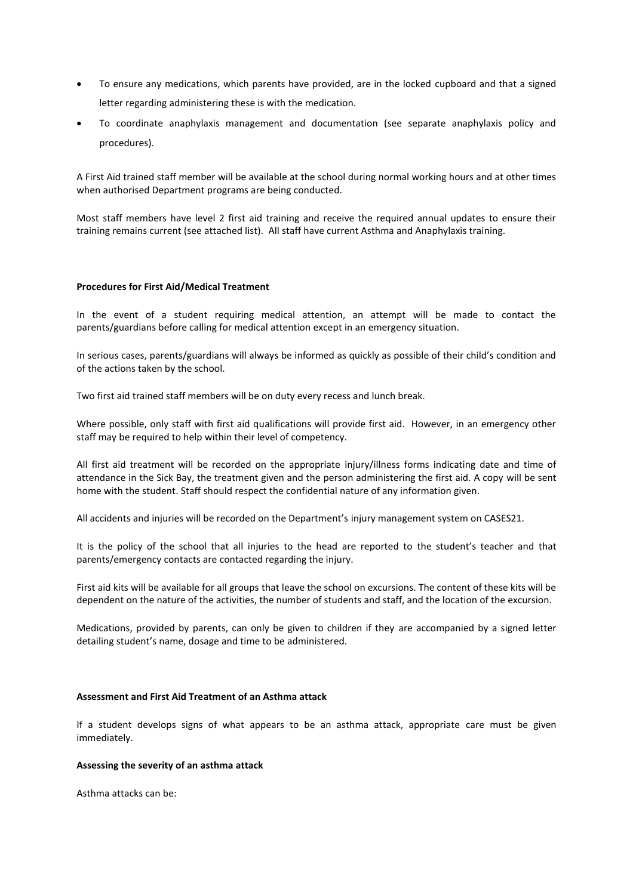- To ensure any medications, which parents have provided, are in the locked cupboard and that a signed letter regarding administering these is with the medication.
- To coordinate anaphylaxis management and documentation (see separate anaphylaxis policy and procedures).

A First Aid trained staff member will be available at the school during normal working hours and at other times when authorised Department programs are being conducted.

Most staff members have level 2 first aid training and receive the required annual updates to ensure their training remains current (see attached list). All staff have current Asthma and Anaphylaxis training.

#### **Procedures for First Aid/Medical Treatment**

In the event of a student requiring medical attention, an attempt will be made to contact the parents/guardians before calling for medical attention except in an emergency situation.

In serious cases, parents/guardians will always be informed as quickly as possible of their child's condition and of the actions taken by the school.

Two first aid trained staff members will be on duty every recess and lunch break.

Where possible, only staff with first aid qualifications will provide first aid. However, in an emergency other staff may be required to help within their level of competency.

All first aid treatment will be recorded on the appropriate injury/illness forms indicating date and time of attendance in the Sick Bay, the treatment given and the person administering the first aid. A copy will be sent home with the student. Staff should respect the confidential nature of any information given.

All accidents and injuries will be recorded on the Department's injury management system on CASES21.

It is the policy of the school that all injuries to the head are reported to the student's teacher and that parents/emergency contacts are contacted regarding the injury.

First aid kits will be available for all groups that leave the school on excursions. The content of these kits will be dependent on the nature of the activities, the number of students and staff, and the location of the excursion.

Medications, provided by parents, can only be given to children if they are accompanied by a signed letter detailing student's name, dosage and time to be administered.

#### **Assessment and First Aid Treatment of an Asthma attack**

If a student develops signs of what appears to be an asthma attack, appropriate care must be given immediately.

#### **Assessing the severity of an asthma attack**

Asthma attacks can be: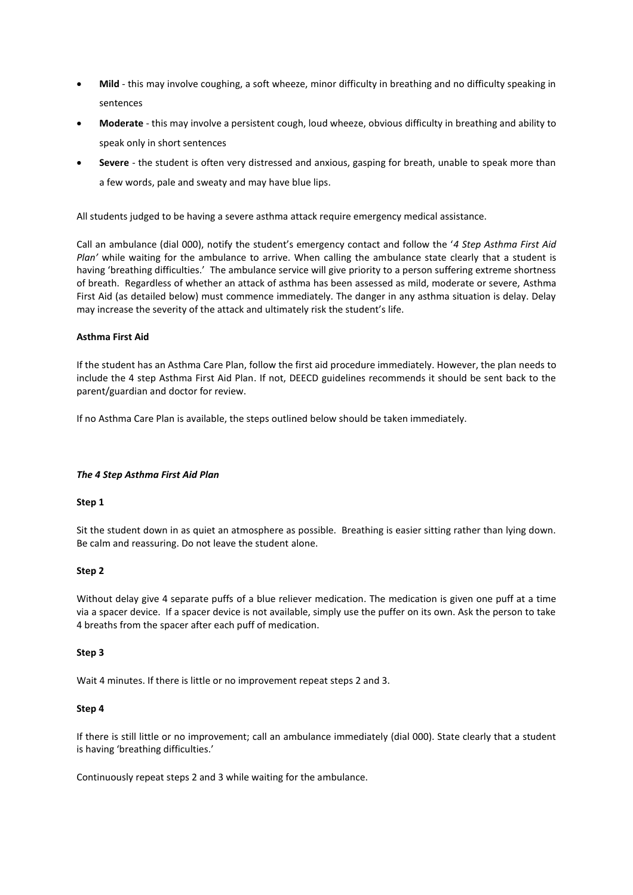- **Mild** this may involve coughing, a soft wheeze, minor difficulty in breathing and no difficulty speaking in sentences
- **Moderate** this may involve a persistent cough, loud wheeze, obvious difficulty in breathing and ability to speak only in short sentences
- **Severe**  the student is often very distressed and anxious, gasping for breath, unable to speak more than a few words, pale and sweaty and may have blue lips.

All students judged to be having a severe asthma attack require emergency medical assistance.

Call an ambulance (dial 000), notify the student's emergency contact and follow the '*4 Step Asthma First Aid Plan'* while waiting for the ambulance to arrive. When calling the ambulance state clearly that a student is having 'breathing difficulties.' The ambulance service will give priority to a person suffering extreme shortness of breath. Regardless of whether an attack of asthma has been assessed as mild, moderate or severe, Asthma First Aid (as detailed below) must commence immediately. The danger in any asthma situation is delay. Delay may increase the severity of the attack and ultimately risk the student's life.

# **Asthma First Aid**

If the student has an Asthma Care Plan, follow the first aid procedure immediately. However, the plan needs to include the 4 step Asthma First Aid Plan. If not, DEECD guidelines recommends it should be sent back to the parent/guardian and doctor for review.

If no Asthma Care Plan is available, the steps outlined below should be taken immediately.

#### *The 4 Step Asthma First Aid Plan*

#### **Step 1**

Sit the student down in as quiet an atmosphere as possible. Breathing is easier sitting rather than lying down. Be calm and reassuring. Do not leave the student alone.

#### **Step 2**

Without delay give 4 separate puffs of a blue reliever medication. The medication is given one puff at a time via a spacer device. If a spacer device is not available, simply use the puffer on its own. Ask the person to take 4 breaths from the spacer after each puff of medication.

#### **Step 3**

Wait 4 minutes. If there is little or no improvement repeat steps 2 and 3.

#### **Step 4**

If there is still little or no improvement; call an ambulance immediately (dial 000). State clearly that a student is having 'breathing difficulties.'

Continuously repeat steps 2 and 3 while waiting for the ambulance.